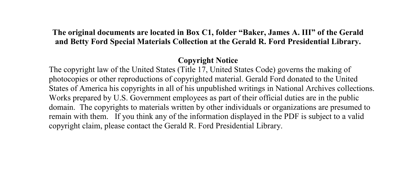## **The original documents are located in Box C1, folder "Baker, James A. III" of the Gerald and Betty Ford Special Materials Collection at the Gerald R. Ford Presidential Library.**

## **Copyright Notice**

The copyright law of the United States (Title 17, United States Code) governs the making of photocopies or other reproductions of copyrighted material. Gerald Ford donated to the United States of America his copyrights in all of his unpublished writings in National Archives collections. Works prepared by U.S. Government employees as part of their official duties are in the public domain. The copyrights to materials written by other individuals or organizations are presumed to remain with them. If you think any of the information displayed in the PDF is subject to a valid copyright claim, please contact the Gerald R. Ford Presidential Library.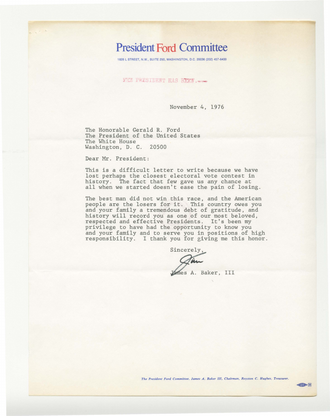## **President Ford Committee**

1828 L STREET, N.W., SUITE 250, WASHINGTON, D.C. 20036 (202) 457-6400

**WHE PRESIDENT HAS STAN.** 

November 4, 1976

The Honorable Gerald R. Ford The President of the United States The White House Washington, D. C. 20500

Dear Mr. President:

This is a difficult letter to write because we have lost perhaps the closest electoral vote contest in history. The fact that few gave us any chance at all when we started doesn't ease the pain of losing.

The best man did not win this race, and the American people are the losers for it. This country owes you and your family a tremendous debt of gratitude, and history will record you as one of our most beloved, respected and effective Presidents. It's been my privilege to have had the opportunity to know you and your family and to serve you in positions of high responsibility. I thank you for giving me this honor.

Sincerely,

Vames A. Baker, III

*The President Ford Committee, James A. Baker III, Chairman, Royston C. Hughes, Treasurer.* 

 $\sim$  28